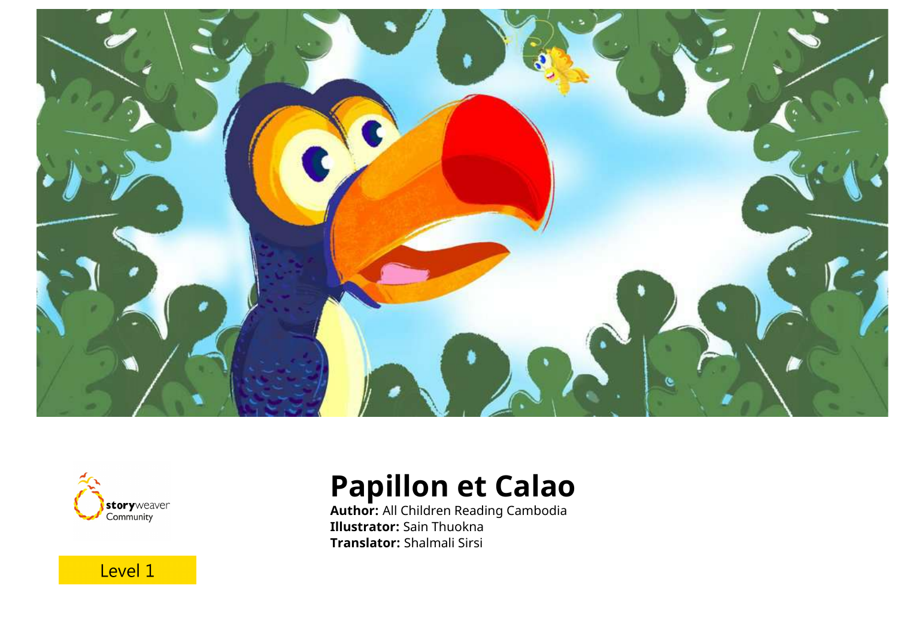



## **Papillon et Calao**

**Author:** All Children Reading Cambodia **Illustrator:** Sain Thuokna **Translator:** Shalmali Sirsi

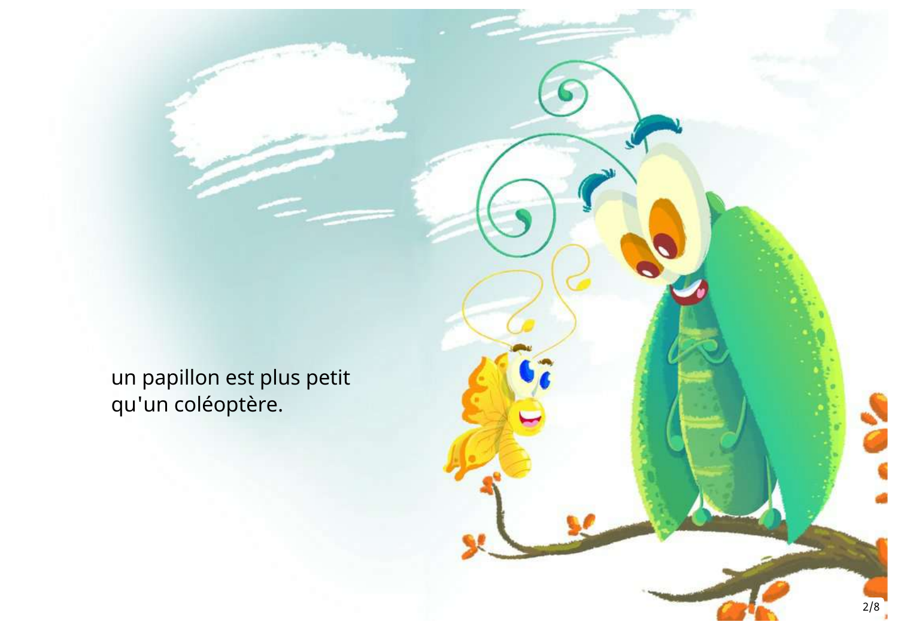un papillon est plus petit qu'un coléoptère.

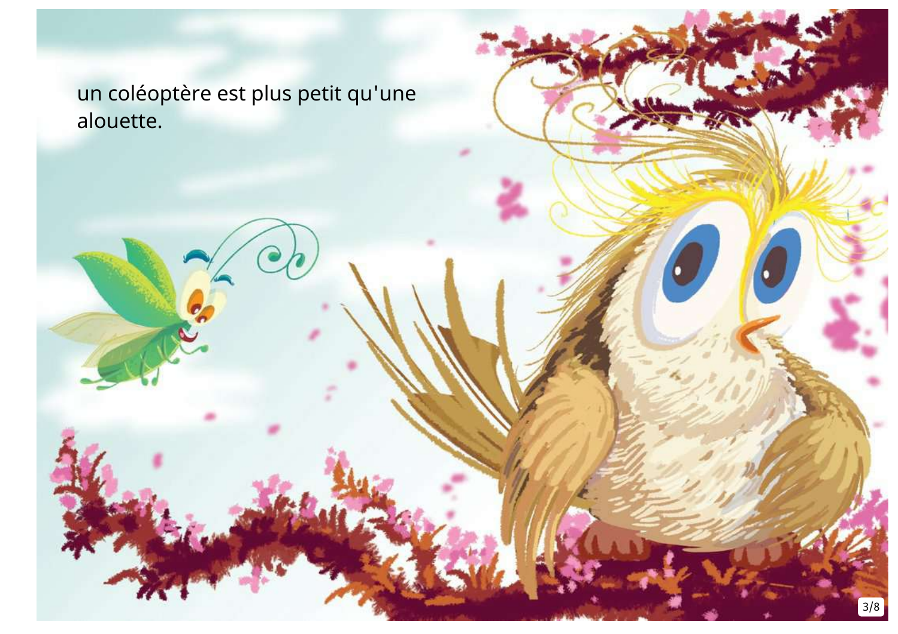un coléoptère est plus petit qu'une alouette.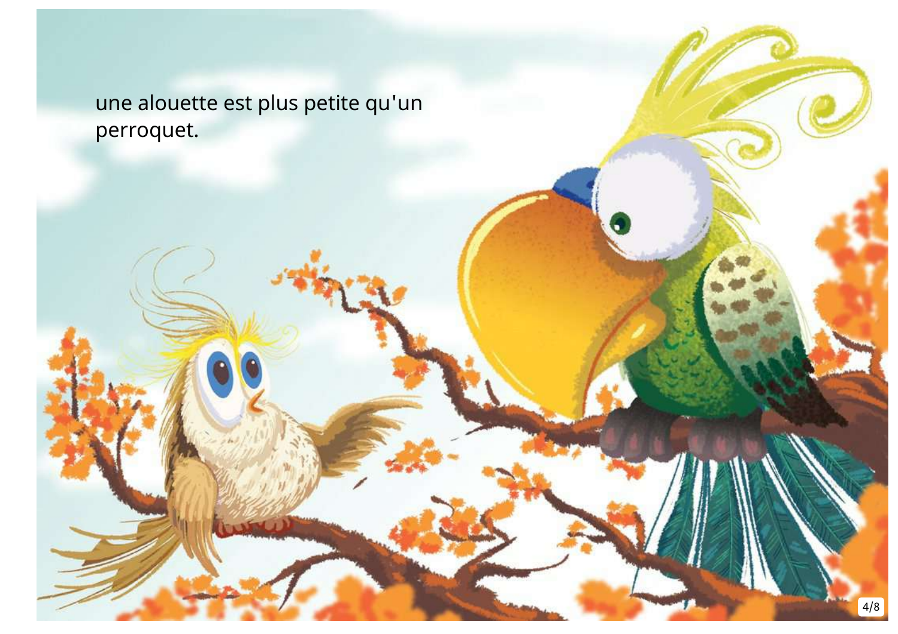une alouette est plus petite qu'un perroquet.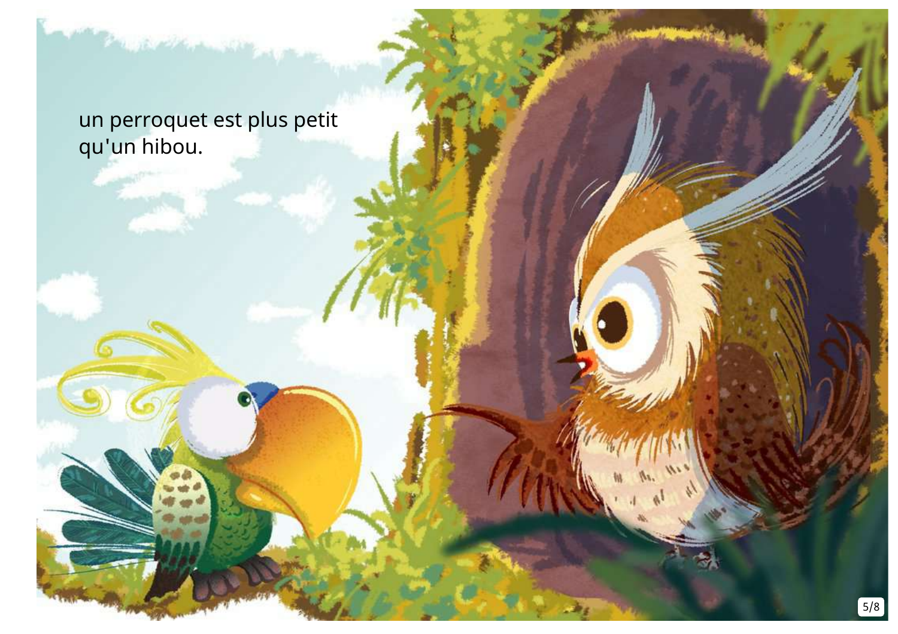un perroquet est plus petit qu'un hibou.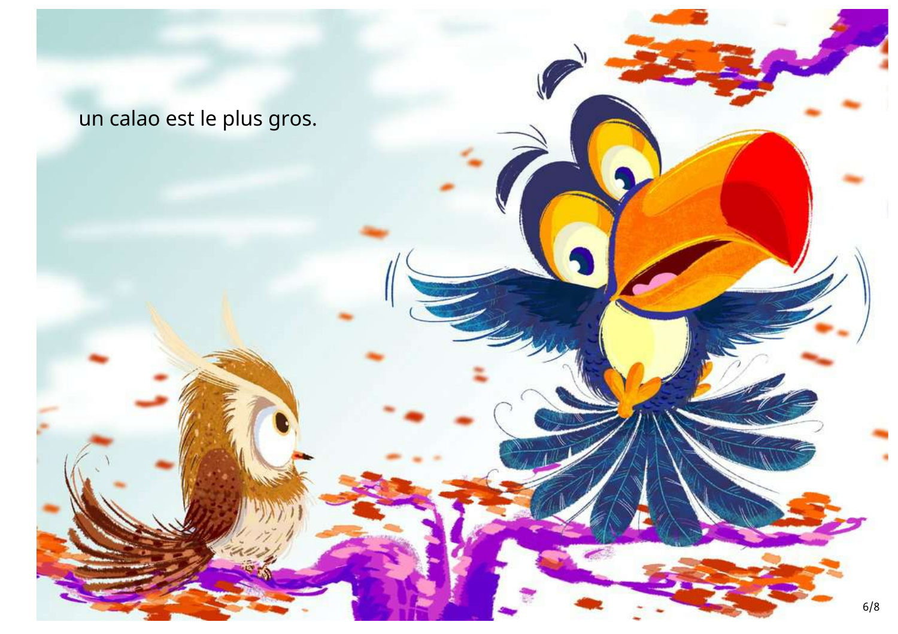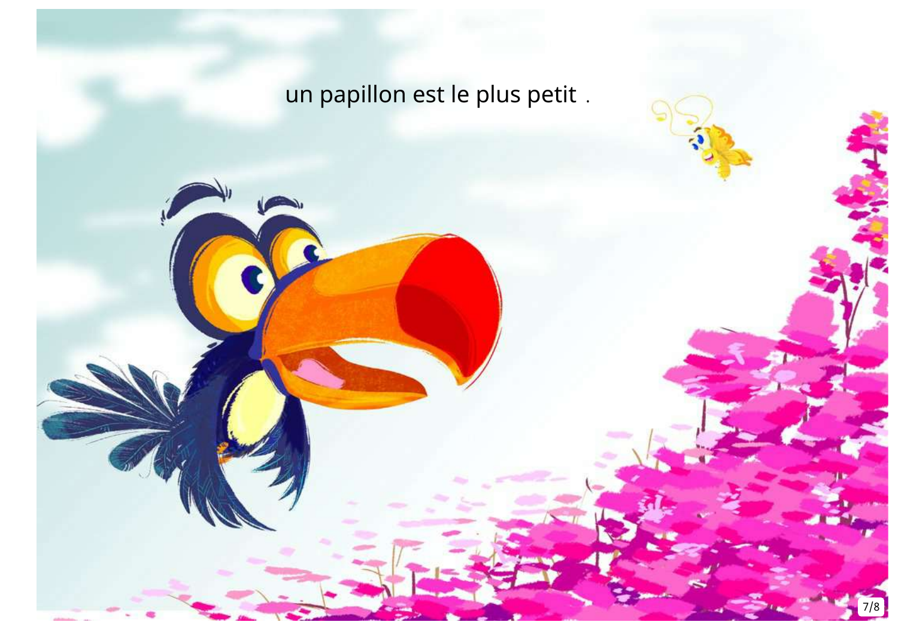# un papillon est le plus petit .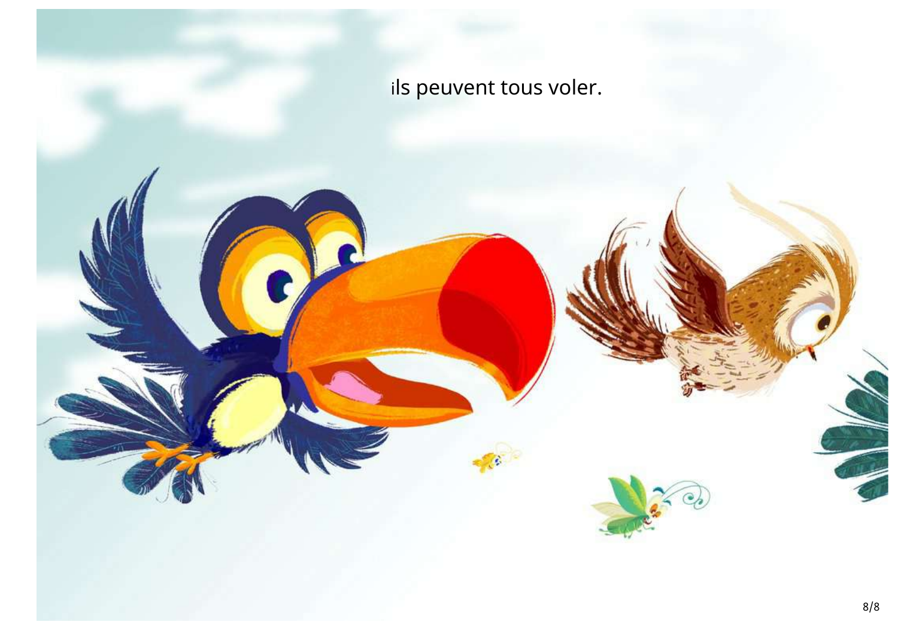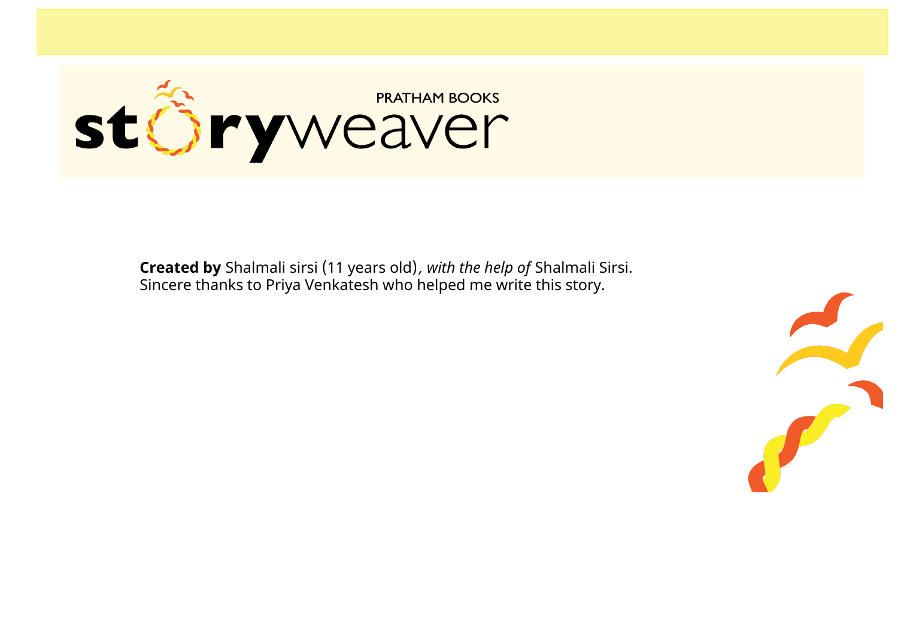

**Created by** Shalmali sirsi (11 years old)*, with the help of* Shalmali Sirsi. Sincere thanks to Priya Venkatesh who helped me write this story.

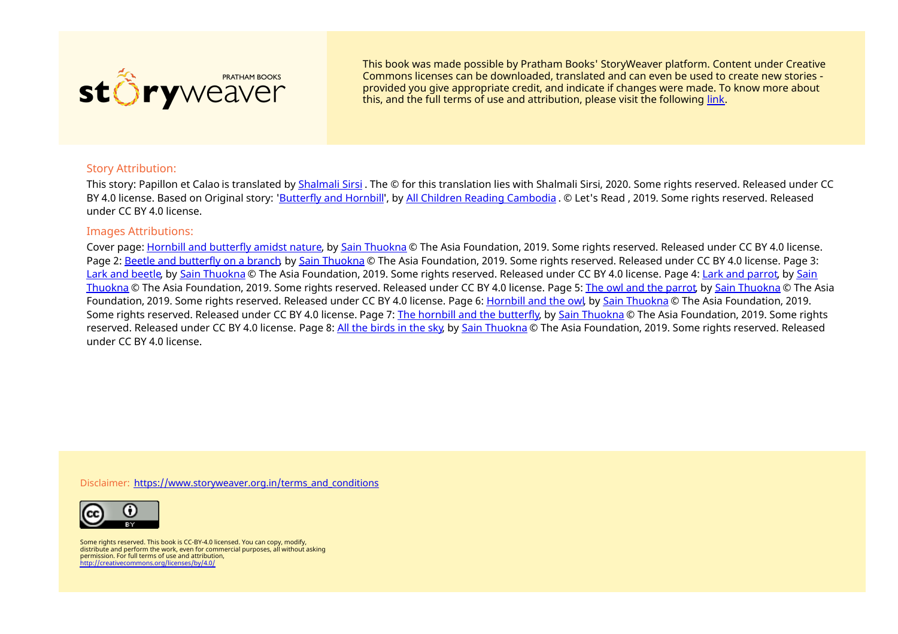

This book was made possible by Pratham Books' StoryWeaver platform. Content under Creative Commons licenses can be downloaded, translated and can even be used to create new stories ‐ provided you give appropriate credit, and indicate if changes were made. To know more about this, and the full terms of use and attribution, please visit the following [link](https://storyweaver.org.in/terms_and_conditions).

### Story Attribution:

This story: Papillon et Calao is translated by [Shalmali](https://storyweaver.org.in/users/3992-shalmali-sirsi) Sirsi. The © for this translation lies with Shalmali Sirsi, 2020. Some rights reserved. Released under CC BY 4.0 license. Based on Original story: '[Butterfly](https://storyweaver.org.in/stories/103151-butterfly-and-hornbill) and Hornbill', by All Children Reading [Cambodia](https://storyweaver.org.in/users/144959-all-children-reading-cambodia) . © Let's Read , 2019. Some rights reserved. Released under CC BY 4.0 license.

#### Images Attributions:

Cover page: Hornbill and [butterfly](https://storyweaver.org.in/illustrations/29495-hornbill-and-butterfly-amidst-nature) amidst nature, by Sain [Thuokna](https://storyweaver.org.in/users/145087-sain-thuokna) © The Asia Foundation, 2019. Some rights reserved. Released under CC BY 4.0 license. Page 2: Beetle and [butterfly](https://storyweaver.org.in/illustrations/29496-beetle-and-butterfly-on-a-branch) on a branch, by Sain [Thuokna](https://storyweaver.org.in/users/145087-sain-thuokna) © The Asia Foundation, 2019. Some rights reserved. Released under CC BY 4.0 license. Page 3: Lark and [beetle](https://storyweaver.org.in/illustrations/29497-lark-and-beetle), by Sain [Thuokna](https://storyweaver.org.in/users/145087-sain-thuokna) © The Asia [Foundation,](https://storyweaver.org.in/users/145087-sain-thuokna) 2019. Some rights reserved. Released under CC BY 4.0 license. Page 4: Lark and [parrot](https://storyweaver.org.in/illustrations/29498-lark-and-parrot), by Sain Thuokna © The Asia Foundation, 2019. Some rights reserved. Released under CC BY 4.0 license. Page 5: The owl and the [parrot](https://storyweaver.org.in/illustrations/29499-the-owl-and-the-parrot), by Sain [Thuokna](https://storyweaver.org.in/users/145087-sain-thuokna) © The Asia Foundation, 2019. Some rights reserved. Released under CC BY 4.0 license. Page 6: [Hornbill](https://storyweaver.org.in/illustrations/29500-hornbill-and-the-owl) and the owl, by Sain [Thuokna](https://storyweaver.org.in/users/145087-sain-thuokna) © The Asia Foundation, 2019. Some rights reserved. Released under CC BY 4.0 license. Page 7: The hornbill and the [butterfly](https://storyweaver.org.in/illustrations/29502-the-hornbill-and-the-butterfly), by Sain [Thuokna](https://storyweaver.org.in/users/145087-sain-thuokna) © The Asia Foundation, 2019. Some rights reserved. Released under CC BY 4.0 license. Page 8: All the [birds](https://storyweaver.org.in/illustrations/29504-all-the-birds-in-the-sky) in the sky, by Sain [Thuokna](https://storyweaver.org.in/users/145087-sain-thuokna) © The Asia Foundation, 2019. Some rights reserved. Released under CC BY 4.0 license.

Disclaimer: [https://www.storyweaver.org.in/terms\\_and\\_conditions](https://storyweaver.org.in/terms_and_conditions)



Some rights reserved. This book is CC-BY-4.0 licensed. You can copy, modify, distribute and perform the work, even for commercial purposes, all without asking permission. For full terms of use and attribution, <http://creativecommons.org/licenses/by/4.0/>